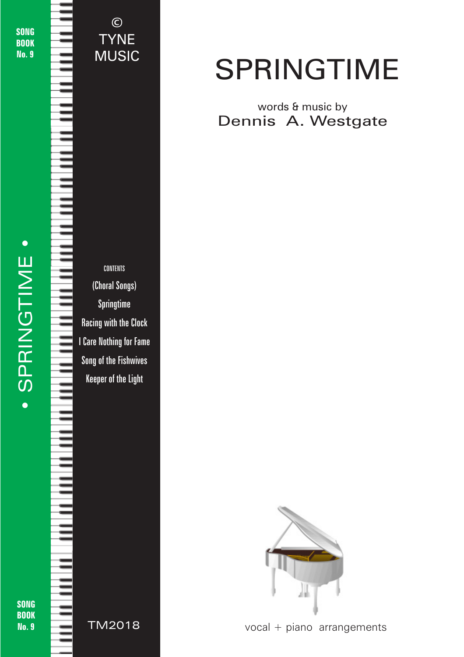**SONG BOOK** No. 9

CONTENTS (Choral Songs) Springtime Racing with the Clock I Care Nothing for Fame Song of the Fishwives Keeper of the Light

©

TYNE

MUSIC

**BOOK** No. 9

SONG



# SPRINGTIME

### words & music by Dennis A. Westgate



© 2018 - Springtime - TYNE MUSIC - tynemusiclimited@gmail.com

vocal + piano arrangements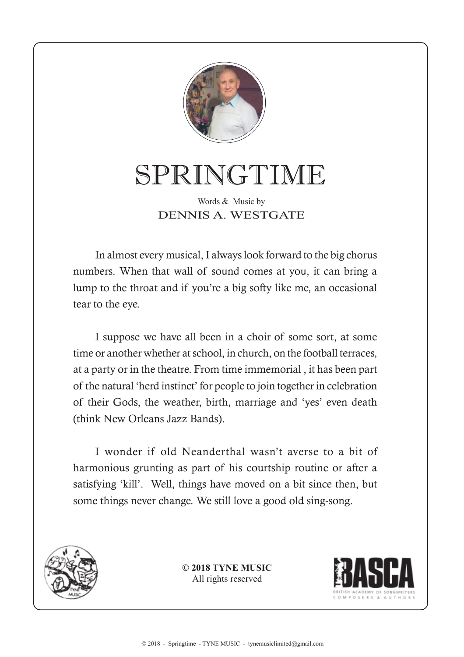

## SPRINGTIME

#### Words & Music by DENNIS A. WESTGATE

In almost every musical, I always look forward to the big chorus numbers. When that wall of sound comes at you, it can bring a lump to the throat and if you're a big softy like me, an occasional tear to the eye.

I suppose we have all been in a choir of some sort, at some time or another whether at school, in church, on the football terraces, at a party or in the theatre. From time immemorial , it has been part of the natural 'herd instinct' for people to join together in celebration of their Gods, the weather, birth, marriage and 'yes' even death (think New Orleans Jazz Bands).

I wonder if old Neanderthal wasn't averse to a bit of harmonious grunting as part of his courtship routine or after a satisfying 'kill'. Well, things have moved on a bit since then, but some things never change. We still love a good old sing-song.



**© 2018 TYNE MUSIC** All rights reserved

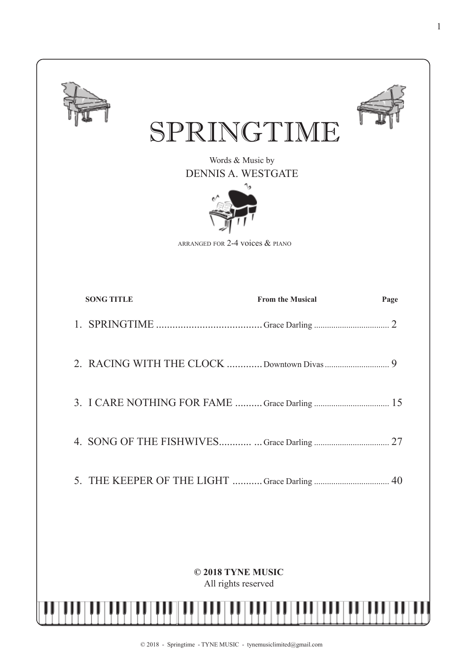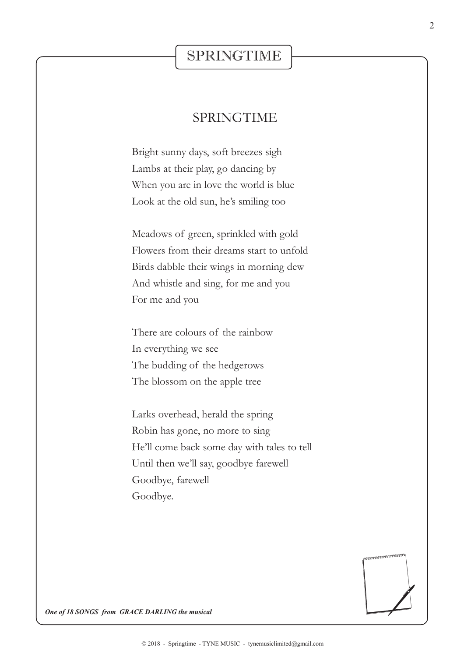### SPRINGTIME

#### SPRINGTIME

Bright sunny days, soft breezes sigh Lambs at their play, go dancing by When you are in love the world is blue Look at the old sun, he's smiling too

Meadows of green, sprinkled with gold Flowers from their dreams start to unfold Birds dabble their wings in morning dew And whistle and sing, for me and you For me and you

There are colours of the rainbow In everything we see The budding of the hedgerows The blossom on the apple tree

Larks overhead, herald the spring Robin has gone, no more to sing He'll come back some day with tales to tell Until then we'll say, goodbye farewell Goodbye, farewell Goodbye.



*One of 18 SONGS from GRACE DARLING the musical*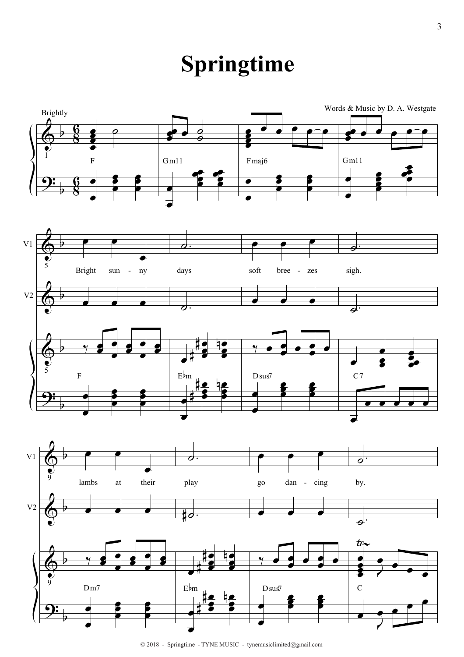## **Springtime**



<sup>© 2018 -</sup> Springtime - TYNE MUSIC - tynemusiclimited@gmail.com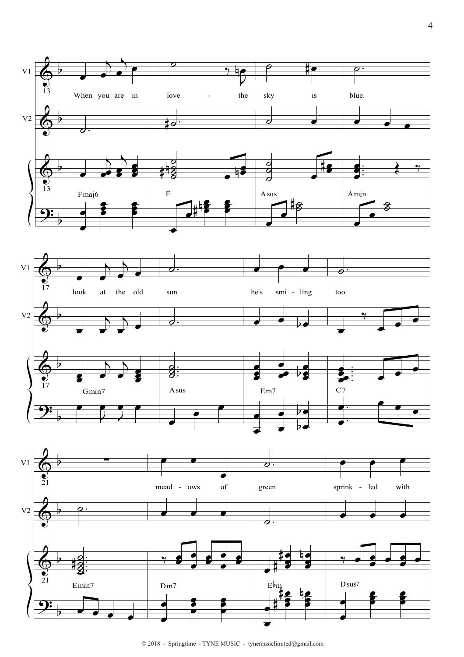

 $\odot$  2018 - Springtime - TYNE MUSIC - tynemusic<br>limited@gmail.com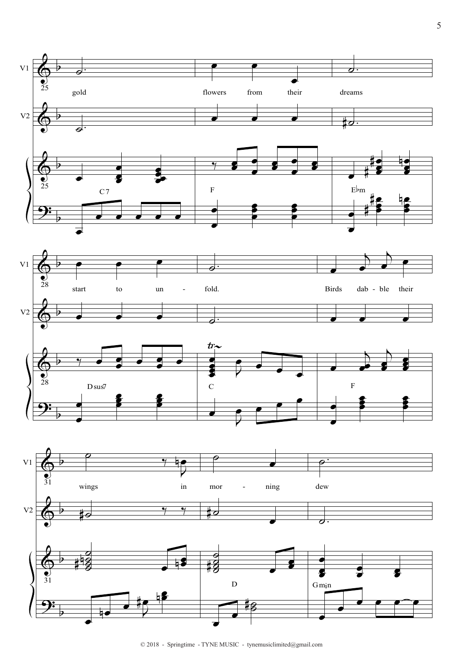

 $© 2018$  - Springtime - TYNE MUSIC - tynemusiclimited@gmail.com